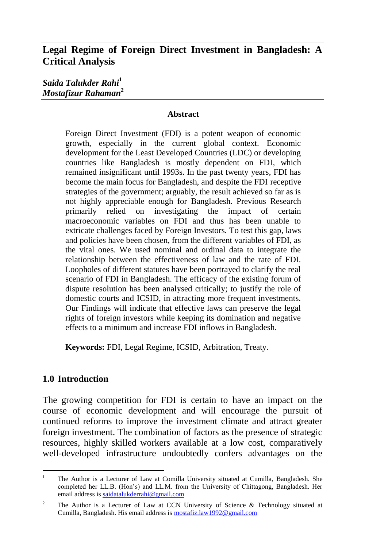# **Legal Regime of Foreign Direct Investment in Bangladesh: A Critical Analysis**

*Saida Talukder Rahi***<sup>1</sup>** *Mostafizur Rahaman* **2**

#### **Abstract**

Foreign Direct Investment (FDI) is a potent weapon of economic growth, especially in the current global context. Economic development for the Least Developed Countries (LDC) or developing countries like Bangladesh is mostly dependent on FDI, which remained insignificant until 1993s. In the past twenty years, FDI has become the main focus for Bangladesh, and despite the FDI receptive strategies of the government; arguably, the result achieved so far as is not highly appreciable enough for Bangladesh. Previous Research primarily relied on investigating the impact of certain macroeconomic variables on FDI and thus has been unable to extricate challenges faced by Foreign Investors. To test this gap, laws and policies have been chosen, from the different variables of FDI, as the vital ones. We used nominal and ordinal data to integrate the relationship between the effectiveness of law and the rate of FDI. Loopholes of different statutes have been portrayed to clarify the real scenario of FDI in Bangladesh. The efficacy of the existing forum of dispute resolution has been analysed critically; to justify the role of domestic courts and ICSID, in attracting more frequent investments. Our Findings will indicate that effective laws can preserve the legal rights of foreign investors while keeping its domination and negative effects to a minimum and increase FDI inflows in Bangladesh.

**Keywords:** FDI, Legal Regime, ICSID, Arbitration, Treaty.

### **1.0 Introduction**

The growing competition for FDI is certain to have an impact on the course of economic development and will encourage the pursuit of continued reforms to improve the investment climate and attract greater foreign investment. The combination of factors as the presence of strategic resources, highly skilled workers available at a low cost, comparatively well-developed infrastructure undoubtedly confers advantages on the

 $\overline{a}$ <sup>1</sup> The Author is a Lecturer of Law at Comilla University situated at Cumilla, Bangladesh. She completed her LL.B. (Hon's) and LL.M. from the University of Chittagong, Bangladesh. Her email address i[s saidatalukderrahi@gmail.com](mailto:saidatalukderrahi@gmail.com)

<sup>&</sup>lt;sup>2</sup> The Author is a Lecturer of Law at CCN University of Science & Technology situated at Cumilla, Bangladesh. His email address i[s mostafiz.law1992@gmail.com](mailto:mostafiz.law1992@gmail.com)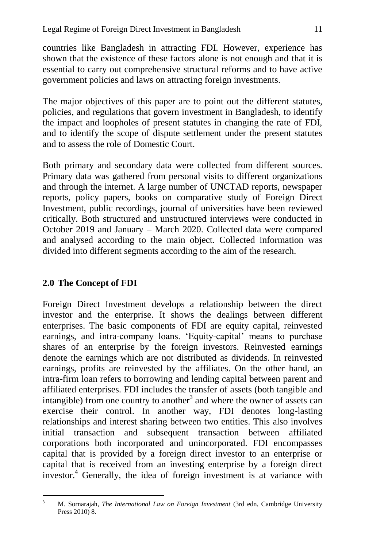countries like Bangladesh in attracting FDI. However, experience has shown that the existence of these factors alone is not enough and that it is essential to carry out comprehensive structural reforms and to have active government policies and laws on attracting foreign investments.

The major objectives of this paper are to point out the different statutes, policies, and regulations that govern investment in Bangladesh, to identify the impact and loopholes of present statutes in changing the rate of FDI, and to identify the scope of dispute settlement under the present statutes and to assess the role of Domestic Court.

Both primary and secondary data were collected from different sources. Primary data was gathered from personal visits to different organizations and through the internet. A large number of UNCTAD reports, newspaper reports, policy papers, books on comparative study of Foreign Direct Investment, public recordings, journal of universities have been reviewed critically. Both structured and unstructured interviews were conducted in October 2019 and January – March 2020. Collected data were compared and analysed according to the main object. Collected information was divided into different segments according to the aim of the research.

# **2.0 The Concept of FDI**

Foreign Direct Investment develops a relationship between the direct investor and the enterprise. It shows the dealings between different enterprises. The basic components of FDI are equity capital, reinvested earnings, and intra-company loans. 'Equity-capital' means to purchase shares of an enterprise by the foreign investors. Reinvested earnings denote the earnings which are not distributed as dividends. In reinvested earnings, profits are reinvested by the affiliates. On the other hand, an intra-firm loan refers to borrowing and lending capital between parent and affiliated enterprises. FDI includes the transfer of assets (both tangible and intangible) from one country to another<sup>3</sup> and where the owner of assets can exercise their control. In another way, FDI denotes long-lasting relationships and interest sharing between two entities. This also involves initial transaction and subsequent transaction between affiliated corporations both incorporated and unincorporated. FDI encompasses capital that is provided by a foreign direct investor to an enterprise or capital that is received from an investing enterprise by a foreign direct investor.<sup>4</sup> Generally, the idea of foreign investment is at variance with

 $\mathfrak z$ <sup>3</sup> M. Sornarajah, *The International Law on Foreign Investment* (3rd edn, Cambridge University Press 2010) 8.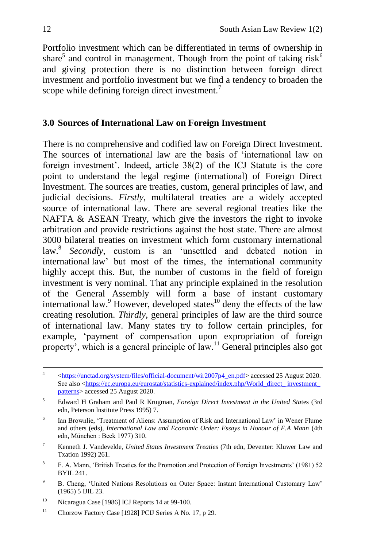Portfolio investment which can be differentiated in terms of ownership in share<sup>5</sup> and control in management. Though from the point of taking  $\text{risk}^6$ and giving protection there is no distinction between foreign direct investment and portfolio investment but we find a tendency to broaden the scope while defining foreign direct investment.<sup>7</sup>

### **3.0 Sources of International Law on Foreign Investment**

There is no comprehensive and codified law on Foreign Direct Investment. The sources of international law are the basis of 'international law on foreign investment'. Indeed, article 38(2) of the ICJ Statute is the core point to understand the legal regime (international) of Foreign Direct Investment. The sources are treaties, custom, general principles of law, and judicial decisions. *Firstly*, multilateral treaties are a widely accepted source of international law. There are several regional treaties like the NAFTA & ASEAN Treaty, which give the investors the right to invoke arbitration and provide restrictions against the host state. There are almost 3000 bilateral treaties on investment which form customary international law.<sup>8</sup> *Secondly*, custom is an 'unsettled and debated notion in international law' but most of the times, the international community highly accept this. But, the number of customs in the field of foreign investment is very nominal. That any principle explained in the resolution of the General Assembly will form a base of instant customary international law.<sup>9</sup> However, developed states<sup>10</sup> deny the effects of the law creating resolution. *Thirdly*, general principles of law are the third source of international law. Many states try to follow certain principles, for example, 'payment of compensation upon expropriation of foreign property', which is a general principle of law.<sup>11</sup> General principles also got

 4 [<https://unctad.org/system/files/official-document/wir2007p4\\_en.pdf>](https://unctad.org/system/files/official-document/wir2007p4_en.pdf) accessed 25 August 2020. See also <https://ec.europa.eu/eurostat/statistics-explained/index.php/World\_direct\_investment\_ [patterns>](https://ec.europa.eu/eurostat/statistics-explained/index.php/World_direct_%20investment_%20patterns) accessed 25 August 2020.

<sup>5</sup> Edward H Graham and Paul R Krugman, *Foreign Direct Investment in the United Sta*tes (3rd edn, Peterson Institute Press 1995) 7.

<sup>6</sup> Ian Brownlie, 'Treatment of Aliens: Assumption of Risk and International Law' in Wener Flume and others (eds), *International Law and Economic Order: Essays in Honour of F.A Mann* (4th edn, München : Beck 1977) 310.

<sup>7</sup> Kenneth J. Vandevelde, *United States Investment Treaties* (7th edn, Deventer: Kluwer Law and Txation 1992) 261.

<sup>8</sup> F. A. Mann, 'British Treaties for the Promotion and Protection of Foreign Investments' (1981) 52 BYIL 241.

<sup>&</sup>lt;sup>9</sup> B. Cheng, 'United Nations Resolutions on Outer Space: Instant International Customary Law' (1965) 5 IJIL 23.

<sup>&</sup>lt;sup>10</sup> Nicaragua Case [1986] ICJ Reports 14 at 99-100.

<sup>&</sup>lt;sup>11</sup> Chorzow Factory Case [1928] PCIJ Series A No. 17, p 29.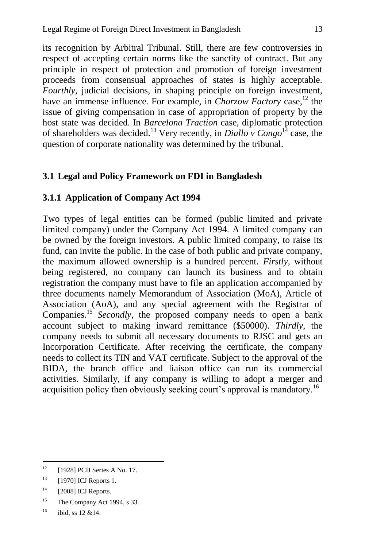its recognition by Arbitral Tribunal. Still, there are few controversies in respect of accepting certain norms like the sanctity of contract. But any principle in respect of protection and promotion of foreign investment proceeds from consensual approaches of states is highly acceptable. *Fourthly*, judicial decisions, in shaping principle on foreign investment, have an immense influence. For example, in *Chorzow Factory* case,<sup>12</sup> the issue of giving compensation in case of appropriation of property by the host state was decided. In *Barcelona Traction* case, diplomatic protection of shareholders was decided.<sup>13</sup> Very recently, in *Diallo v Congo*<sup>14</sup> case, the question of corporate nationality was determined by the tribunal.

## **3.1 Legal and Policy Framework on FDI in Bangladesh**

## **3.1.1 Application of Company Act 1994**

Two types of legal entities can be formed (public limited and private limited company) under the Company Act 1994. A limited company can be owned by the foreign investors. A public limited company, to raise its fund, can invite the public. In the case of both public and private company, the maximum allowed ownership is a hundred percent. *Firstly*, without being registered, no company can launch its business and to obtain registration the company must have to file an application accompanied by three documents namely Memorandum of Association (MoA), Article of Association (AoA), and any special agreement with the Registrar of Companies.<sup>15</sup> *Secondly*, the proposed company needs to open a bank account subject to making inward remittance (\$50000). *Thirdly*, the company needs to submit all necessary documents to RJSC and gets an Incorporation Certificate. After receiving the certificate, the company needs to collect its TIN and VAT certificate. Subject to the approval of the BIDA, the branch office and liaison office can run its commercial activities. Similarly, if any company is willing to adopt a merger and acquisition policy then obviously seeking court's approval is mandatory.<sup>16</sup>

 $12<sup>12</sup>$ [1928] PCIJ Series A No. 17.

 $13$  [1970] ICJ Reports 1.

 $14$  [2008] ICJ Reports.

<sup>&</sup>lt;sup>15</sup> The Company Act 1994, s 33.

 $16$  ibid, ss 12 & 14.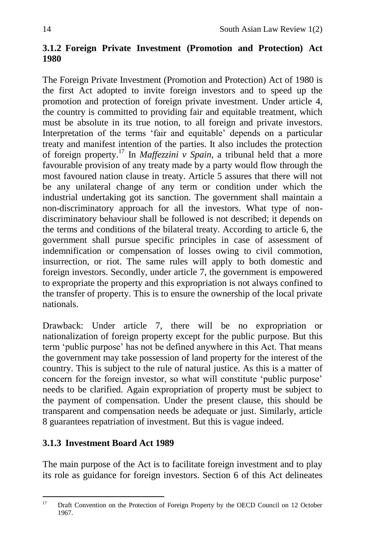# **3.1.2 Foreign Private Investment (Promotion and Protection) Act 1980**

The Foreign Private Investment (Promotion and Protection) Act of 1980 is the first Act adopted to invite foreign investors and to speed up the promotion and protection of foreign private investment. Under article 4, the country is committed to providing fair and equitable treatment, which must be absolute in its true notion, to all foreign and private investors. Interpretation of the terms 'fair and equitable' depends on a particular treaty and manifest intention of the parties. It also includes the protection of foreign property. <sup>17</sup> In *Maffezzini v Spain*, a tribunal held that a more favourable provision of any treaty made by a party would flow through the most favoured nation clause in treaty. Article 5 assures that there will not be any unilateral change of any term or condition under which the industrial undertaking got its sanction. The government shall maintain a non-discriminatory approach for all the investors. What type of nondiscriminatory behaviour shall be followed is not described; it depends on the terms and conditions of the bilateral treaty. According to article 6, the government shall pursue specific principles in case of assessment of indemnification or compensation of losses owing to civil commotion, insurrection, or riot. The same rules will apply to both domestic and foreign investors. Secondly, under article 7, the government is empowered to expropriate the property and this expropriation is not always confined to the transfer of property. This is to ensure the ownership of the local private nationals.

Drawback: Under article 7, there will be no expropriation or nationalization of foreign property except for the public purpose. But this term 'public purpose' has not be defined anywhere in this Act. That means the government may take possession of land property for the interest of the country. This is subject to the rule of natural justice. As this is a matter of concern for the foreign investor, so what will constitute 'public purpose' needs to be clarified. Again expropriation of property must be subject to the payment of compensation. Under the present clause, this should be transparent and compensation needs be adequate or just. Similarly, article 8 guarantees repatriation of investment. But this is vague indeed.

# **3.1.3 Investment Board Act 1989**

The main purpose of the Act is to facilitate foreign investment and to play its role as guidance for foreign investors. Section 6 of this Act delineates

 $17\,$ <sup>17</sup> Draft Convention on the Protection of Foreign Property by the OECD Council on 12 October 1967.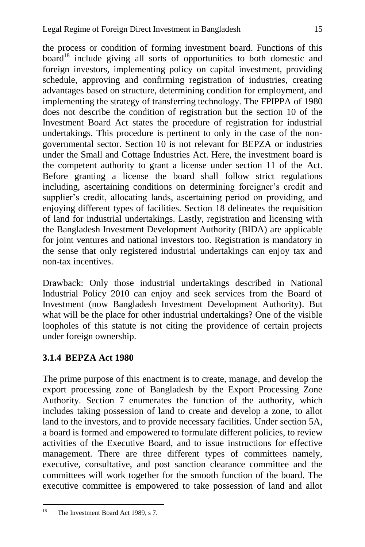the process or condition of forming investment board. Functions of this  $board<sup>18</sup>$  include giving all sorts of opportunities to both domestic and foreign investors, implementing policy on capital investment, providing schedule, approving and confirming registration of industries, creating advantages based on structure, determining condition for employment, and implementing the strategy of transferring technology. The FPIPPA of 1980 does not describe the condition of registration but the section 10 of the Investment Board Act states the procedure of registration for industrial undertakings. This procedure is pertinent to only in the case of the nongovernmental sector. Section 10 is not relevant for BEPZA or industries under the Small and Cottage Industries Act. Here, the investment board is the competent authority to grant a license under section 11 of the Act. Before granting a license the board shall follow strict regulations including, ascertaining conditions on determining foreigner's credit and supplier's credit, allocating lands, ascertaining period on providing, and enjoying different types of facilities. Section 18 delineates the requisition of land for industrial undertakings. Lastly, registration and licensing with the Bangladesh Investment Development Authority (BIDA) are applicable for joint ventures and national investors too. Registration is mandatory in the sense that only registered industrial undertakings can enjoy tax and non-tax incentives.

Drawback: Only those industrial undertakings described in National Industrial Policy 2010 can enjoy and seek services from the Board of Investment (now Bangladesh Investment Development Authority). But what will be the place for other industrial undertakings? One of the visible loopholes of this statute is not citing the providence of certain projects under foreign ownership.

# **3.1.4 BEPZA Act 1980**

The prime purpose of this enactment is to create, manage, and develop the export processing zone of Bangladesh by the Export Processing Zone Authority. Section 7 enumerates the function of the authority, which includes taking possession of land to create and develop a zone, to allot land to the investors, and to provide necessary facilities. Under section 5A, a board is formed and empowered to formulate different policies, to review activities of the Executive Board, and to issue instructions for effective management. There are three different types of committees namely, executive, consultative, and post sanction clearance committee and the committees will work together for the smooth function of the board. The executive committee is empowered to take possession of land and allot

<sup>18</sup> The Investment Board Act 1989, s 7.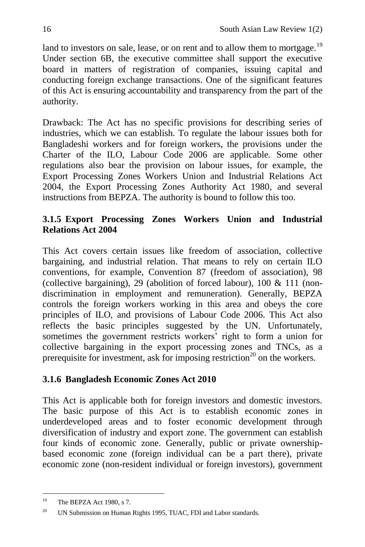land to investors on sale, lease, or on rent and to allow them to mortgage.<sup>19</sup> Under section 6B, the executive committee shall support the executive board in matters of registration of companies, issuing capital and conducting foreign exchange transactions. One of the significant features of this Act is ensuring accountability and transparency from the part of the authority.

Drawback: The Act has no specific provisions for describing series of industries, which we can establish. To regulate the labour issues both for Bangladeshi workers and for foreign workers, the provisions under the Charter of the ILO, Labour Code 2006 are applicable. Some other regulations also bear the provision on labour issues, for example, the Export Processing Zones Workers Union and Industrial Relations Act 2004, the Export Processing Zones Authority Act 1980, and several instructions from BEPZA. The authority is bound to follow this too.

## **3.1.5 Export Processing Zones Workers Union and Industrial Relations Act 2004**

This Act covers certain issues like freedom of association, collective bargaining, and industrial relation. That means to rely on certain ILO conventions, for example, Convention 87 (freedom of association), 98 (collective bargaining), 29 (abolition of forced labour), 100 & 111 (nondiscrimination in employment and remuneration). Generally, BEPZA controls the foreign workers working in this area and obeys the core principles of ILO, and provisions of Labour Code 2006. This Act also reflects the basic principles suggested by the UN. Unfortunately, sometimes the government restricts workers' right to form a union for collective bargaining in the export processing zones and TNCs, as a prerequisite for investment, ask for imposing restriction<sup>20</sup> on the workers.

# **3.1.6 Bangladesh Economic Zones Act 2010**

This Act is applicable both for foreign investors and domestic investors. The basic purpose of this Act is to establish economic zones in underdeveloped areas and to foster economic development through diversification of industry and export zone. The government can establish four kinds of economic zone. Generally, public or private ownershipbased economic zone (foreign individual can be a part there), private economic zone (non-resident individual or foreign investors), government

<sup>19</sup> The BEPZA Act 1980, s 7.

<sup>&</sup>lt;sup>20</sup> UN Submission on Human Rights 1995, TUAC, FDI and Labor standards.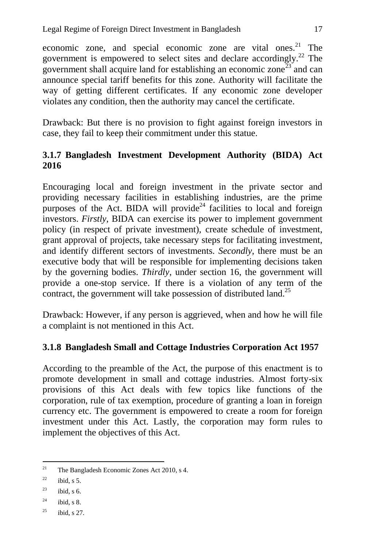economic zone, and special economic zone are vital ones. $21$  The government is empowered to select sites and declare accordingly.<sup>22</sup> The government shall acquire land for establishing an economic zone<sup>23</sup> and can announce special tariff benefits for this zone. Authority will facilitate the way of getting different certificates. If any economic zone developer violates any condition, then the authority may cancel the certificate.

Drawback: But there is no provision to fight against foreign investors in case, they fail to keep their commitment under this statue.

### **3.1.7 Bangladesh Investment Development Authority (BIDA) Act 2016**

Encouraging local and foreign investment in the private sector and providing necessary facilities in establishing industries, are the prime purposes of the Act. BIDA will provide<sup>24</sup> facilities to local and foreign investors. *Firstly*, BIDA can exercise its power to implement government policy (in respect of private investment), create schedule of investment, grant approval of projects, take necessary steps for facilitating investment, and identify different sectors of investments. *Secondly*, there must be an executive body that will be responsible for implementing decisions taken by the governing bodies. *Thirdly*, under section 16, the government will provide a one-stop service. If there is a violation of any term of the contract, the government will take possession of distributed land.<sup>25</sup>

Drawback: However, if any person is aggrieved, when and how he will file a complaint is not mentioned in this Act.

# **3.1.8 Bangladesh Small and Cottage Industries Corporation Act 1957**

According to the preamble of the Act, the purpose of this enactment is to promote development in small and cottage industries. Almost forty-six provisions of this Act deals with few topics like functions of the corporation, rule of tax exemption, procedure of granting a loan in foreign currency etc. The government is empowered to create a room for foreign investment under this Act. Lastly, the corporation may form rules to implement the objectives of this Act.

 $21$ The Bangladesh Economic Zones Act 2010, s 4.

 $^{22}$  ibid, s 5.

 $^{23}$  ibid, s 6.

 $^{24}$  ibid, s 8.

 $^{25}$  ibid, s 27.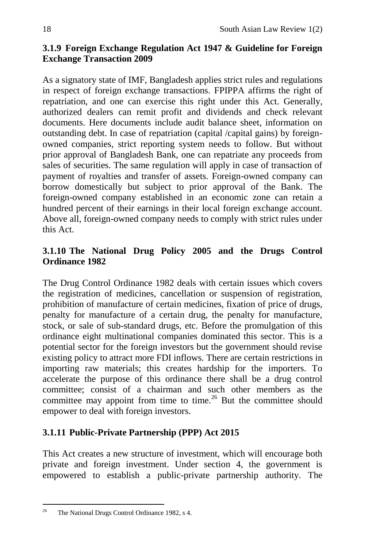## **3.1.9 Foreign Exchange Regulation Act 1947 & Guideline for Foreign Exchange Transaction 2009**

As a signatory state of IMF, Bangladesh applies strict rules and regulations in respect of foreign exchange transactions. FPIPPA affirms the right of repatriation, and one can exercise this right under this Act. Generally, authorized dealers can remit profit and dividends and check relevant documents. Here documents include audit balance sheet, information on outstanding debt. In case of repatriation (capital /capital gains) by foreignowned companies, strict reporting system needs to follow. But without prior approval of Bangladesh Bank, one can repatriate any proceeds from sales of securities. The same regulation will apply in case of transaction of payment of royalties and transfer of assets. Foreign-owned company can borrow domestically but subject to prior approval of the Bank. The foreign-owned company established in an economic zone can retain a hundred percent of their earnings in their local foreign exchange account. Above all, foreign-owned company needs to comply with strict rules under this Act.

## **3.1.10 The National Drug Policy 2005 and the Drugs Control Ordinance 1982**

The Drug Control Ordinance 1982 deals with certain issues which covers the registration of medicines, cancellation or suspension of registration, prohibition of manufacture of certain medicines, fixation of price of drugs, penalty for manufacture of a certain drug, the penalty for manufacture, stock, or sale of sub-standard drugs, etc. Before the promulgation of this ordinance eight multinational companies dominated this sector. This is a potential sector for the foreign investors but the government should revise existing policy to attract more FDI inflows. There are certain restrictions in importing raw materials; this creates hardship for the importers. To accelerate the purpose of this ordinance there shall be a drug control committee; consist of a chairman and such other members as the committee may appoint from time to time.<sup>26</sup> But the committee should empower to deal with foreign investors.

# **3.1.11 Public-Private Partnership (PPP) Act 2015**

This Act creates a new structure of investment, which will encourage both private and foreign investment. Under section 4, the government is empowered to establish a public-private partnership authority. The

 $26$ The National Drugs Control Ordinance 1982, s 4.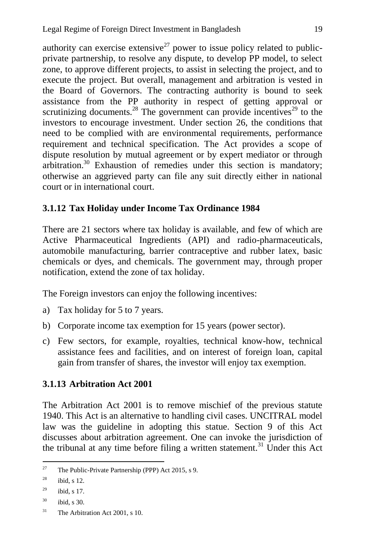authority can exercise extensive<sup>27</sup> power to issue policy related to publicprivate partnership, to resolve any dispute, to develop PP model, to select zone, to approve different projects, to assist in selecting the project, and to execute the project. But overall, management and arbitration is vested in the Board of Governors. The contracting authority is bound to seek assistance from the PP authority in respect of getting approval or scrutinizing documents.<sup>28</sup> The government can provide incentives<sup>29</sup> to the investors to encourage investment. Under section 26, the conditions that need to be complied with are environmental requirements, performance requirement and technical specification. The Act provides a scope of dispute resolution by mutual agreement or by expert mediator or through arbitration.<sup>30</sup> Exhaustion of remedies under this section is mandatory; otherwise an aggrieved party can file any suit directly either in national court or in international court.

## **3.1.12 Tax Holiday under Income Tax Ordinance 1984**

There are 21 sectors where tax holiday is available, and few of which are Active Pharmaceutical Ingredients (API) and radio-pharmaceuticals, automobile manufacturing, barrier contraceptive and rubber latex, basic chemicals or dyes, and chemicals. The government may, through proper notification, extend the zone of tax holiday.

The Foreign investors can enjoy the following incentives:

- a) Tax holiday for 5 to 7 years.
- b) Corporate income tax exemption for 15 years (power sector).
- c) Few sectors, for example, royalties, technical know-how, technical assistance fees and facilities, and on interest of foreign loan, capital gain from transfer of shares, the investor will enjoy tax exemption.

## **3.1.13 Arbitration Act 2001**

The Arbitration Act 2001 is to remove mischief of the previous statute 1940. This Act is an alternative to handling civil cases. UNCITRAL model law was the guideline in adopting this statue. Section 9 of this Act discusses about arbitration agreement. One can invoke the jurisdiction of the tribunal at any time before filing a written statement.<sup>31</sup> Under this Act

 $27$ The Public-Private Partnership (PPP) Act 2015, s 9.

 $^{28}$  ibid, s 12.

 $^{29}$  ibid, s 17.

<sup>30</sup> ibid, s 30.

 $31$  The Arbitration Act 2001, s 10.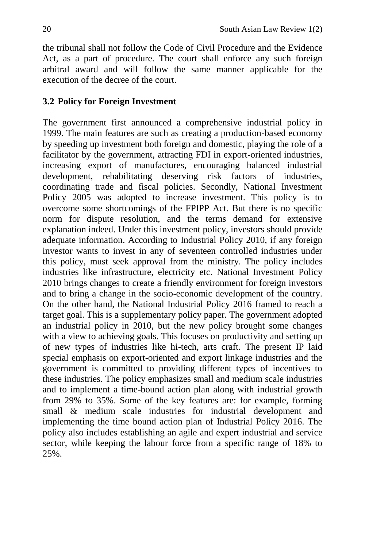the tribunal shall not follow the Code of Civil Procedure and the Evidence Act, as a part of procedure. The court shall enforce any such foreign arbitral award and will follow the same manner applicable for the execution of the decree of the court.

### **3.2 Policy for Foreign Investment**

The government first announced a comprehensive industrial policy in 1999. The main features are such as creating a production-based economy by speeding up investment both foreign and domestic, playing the role of a facilitator by the government, attracting FDI in export-oriented industries, increasing export of manufactures, encouraging balanced industrial development, rehabilitating deserving risk factors of industries, coordinating trade and fiscal policies. Secondly, National Investment Policy 2005 was adopted to increase investment. This policy is to overcome some shortcomings of the FPIPP Act. But there is no specific norm for dispute resolution, and the terms demand for extensive explanation indeed. Under this investment policy, investors should provide adequate information. According to Industrial Policy 2010, if any foreign investor wants to invest in any of seventeen controlled industries under this policy, must seek approval from the ministry. The policy includes industries like infrastructure, electricity etc. National Investment Policy 2010 brings changes to create a friendly environment for foreign investors and to bring a change in the socio-economic development of the country. On the other hand, the National Industrial Policy 2016 framed to reach a target goal. This is a supplementary policy paper. The government adopted an industrial policy in 2010, but the new policy brought some changes with a view to achieving goals. This focuses on productivity and setting up of new types of industries like hi-tech, arts craft. The present IP laid special emphasis on export-oriented and export linkage industries and the government is committed to providing different types of incentives to these industries. The policy emphasizes small and medium scale industries and to implement a time-bound action plan along with industrial growth from 29% to 35%. Some of the key features are: for example, forming small & medium scale industries for industrial development and implementing the time bound action plan of Industrial Policy 2016. The policy also includes establishing an agile and expert industrial and service sector, while keeping the labour force from a specific range of 18% to 25%.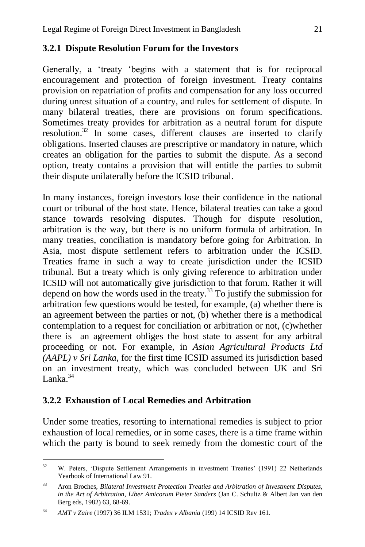## **3.2.1 Dispute Resolution Forum for the Investors**

Generally, a 'treaty 'begins with a statement that is for reciprocal encouragement and protection of foreign investment. Treaty contains provision on repatriation of profits and compensation for any loss occurred during unrest situation of a country, and rules for settlement of dispute. In many bilateral treaties, there are provisions on forum specifications. Sometimes treaty provides for arbitration as a neutral forum for dispute resolution.<sup>32</sup> In some cases, different clauses are inserted to clarify obligations. Inserted clauses are prescriptive or mandatory in nature, which creates an obligation for the parties to submit the dispute. As a second option, treaty contains a provision that will entitle the parties to submit their dispute unilaterally before the ICSID tribunal.

In many instances, foreign investors lose their confidence in the national court or tribunal of the host state. Hence, bilateral treaties can take a good stance towards resolving disputes. Though for dispute resolution, arbitration is the way, but there is no uniform formula of arbitration. In many treaties, conciliation is mandatory before going for Arbitration. In Asia, most dispute settlement refers to arbitration under the ICSID. Treaties frame in such a way to create jurisdiction under the ICSID tribunal. But a treaty which is only giving reference to arbitration under ICSID will not automatically give jurisdiction to that forum. Rather it will depend on how the words used in the treaty.<sup>33</sup> To justify the submission for arbitration few questions would be tested, for example, (a) whether there is an agreement between the parties or not, (b) whether there is a methodical contemplation to a request for conciliation or arbitration or not, (c)whether there is an agreement obliges the host state to assent for any arbitral proceeding or not. For example, in *Asian Agricultural Products Ltd (AAPL) v Sri Lanka*, for the first time ICSID assumed its jurisdiction based on an investment treaty, which was concluded between UK and Sri Lanka.<sup>34</sup>

## **3.2.2 Exhaustion of Local Remedies and Arbitration**

Under some treaties, resorting to international remedies is subject to prior exhaustion of local remedies, or in some cases, there is a time frame within which the party is bound to seek remedy from the domestic court of the

 $32<sup>°</sup>$ <sup>32</sup> W. Peters, 'Dispute Settlement Arrangements in investment Treaties' (1991) 22 Netherlands Yearbook of International Law 91.

<sup>33</sup> Aron Broches, *Bilateral Investment Protection Treaties and Arbitration of Investment Disputes, in the Art of Arbitration, Liber Amicorum Pieter Sanders* (Jan C. Schultz & Albert Jan van den Berg eds, 1982) 63, 68-69.

<sup>34</sup> *AMT v Zaire* (1997) 36 ILM 1531; *Tradex v Albania* (199) 14 ICSID Rev 161.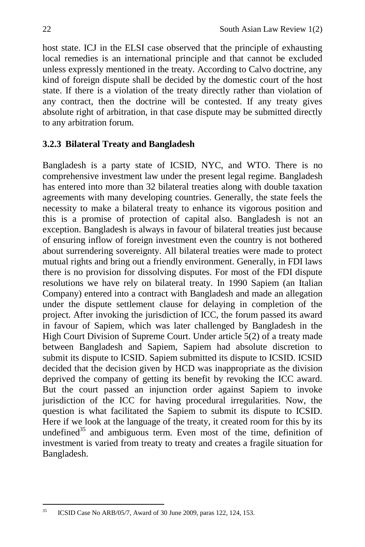host state. ICJ in the ELSI case observed that the principle of exhausting local remedies is an international principle and that cannot be excluded unless expressly mentioned in the treaty. According to Calvo doctrine, any kind of foreign dispute shall be decided by the domestic court of the host state. If there is a violation of the treaty directly rather than violation of any contract, then the doctrine will be contested. If any treaty gives absolute right of arbitration, in that case dispute may be submitted directly to any arbitration forum.

## **3.2.3 Bilateral Treaty and Bangladesh**

Bangladesh is a party state of ICSID, NYC, and WTO. There is no comprehensive investment law under the present legal regime. Bangladesh has entered into more than 32 bilateral treaties along with double taxation agreements with many developing countries. Generally, the state feels the necessity to make a bilateral treaty to enhance its vigorous position and this is a promise of protection of capital also. Bangladesh is not an exception. Bangladesh is always in favour of bilateral treaties just because of ensuring inflow of foreign investment even the country is not bothered about surrendering sovereignty. All bilateral treaties were made to protect mutual rights and bring out a friendly environment. Generally, in FDI laws there is no provision for dissolving disputes. For most of the FDI dispute resolutions we have rely on bilateral treaty. In 1990 Sapiem (an Italian Company) entered into a contract with Bangladesh and made an allegation under the dispute settlement clause for delaying in completion of the project. After invoking the jurisdiction of ICC, the forum passed its award in favour of Sapiem, which was later challenged by Bangladesh in the High Court Division of Supreme Court. Under article 5(2) of a treaty made between Bangladesh and Sapiem, Sapiem had absolute discretion to submit its dispute to ICSID. Sapiem submitted its dispute to ICSID. ICSID decided that the decision given by HCD was inappropriate as the division deprived the company of getting its benefit by revoking the ICC award. But the court passed an injunction order against Sapiem to invoke jurisdiction of the ICC for having procedural irregularities. Now, the question is what facilitated the Sapiem to submit its dispute to ICSID. Here if we look at the language of the treaty, it created room for this by its undefined $35$  and ambiguous term. Even most of the time, definition of investment is varied from treaty to treaty and creates a fragile situation for Bangladesh.

 $35$ <sup>35</sup> ICSID Case No ARB/05/7, Award of 30 June 2009, paras 122, 124, 153.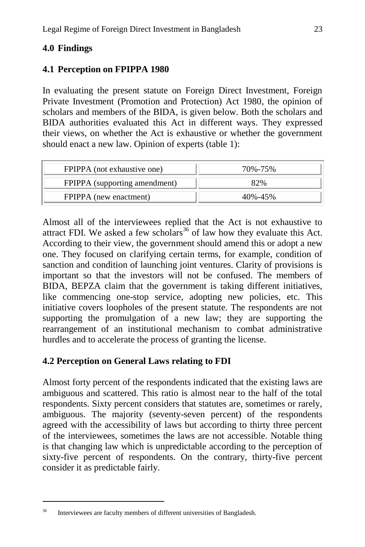# **4.0 Findings**

## **4.1 Perception on FPIPPA 1980**

In evaluating the present statute on Foreign Direct Investment, Foreign Private Investment (Promotion and Protection) Act 1980, the opinion of scholars and members of the BIDA, is given below. Both the scholars and BIDA authorities evaluated this Act in different ways. They expressed their views, on whether the Act is exhaustive or whether the government should enact a new law. Opinion of experts (table 1):

| FPIPPA (not exhaustive one)   | 70%-75% |  |
|-------------------------------|---------|--|
| FPIPPA (supporting amendment) | 82%     |  |
| FPIPPA (new enactment)        | 40%-45% |  |

Almost all of the interviewees replied that the Act is not exhaustive to attract FDI. We asked a few scholars<sup>36</sup> of law how they evaluate this Act. According to their view, the government should amend this or adopt a new one. They focused on clarifying certain terms, for example, condition of sanction and condition of launching joint ventures. Clarity of provisions is important so that the investors will not be confused. The members of BIDA, BEPZA claim that the government is taking different initiatives, like commencing one-stop service, adopting new policies, etc. This initiative covers loopholes of the present statute. The respondents are not supporting the promulgation of a new law; they are supporting the rearrangement of an institutional mechanism to combat administrative hurdles and to accelerate the process of granting the license.

# **4.2 Perception on General Laws relating to FDI**

Almost forty percent of the respondents indicated that the existing laws are ambiguous and scattered. This ratio is almost near to the half of the total respondents. Sixty percent considers that statutes are, sometimes or rarely, ambiguous. The majority (seventy-seven percent) of the respondents agreed with the accessibility of laws but according to thirty three percent of the interviewees, sometimes the laws are not accessible. Notable thing is that changing law which is unpredictable according to the perception of sixty-five percent of respondents. On the contrary, thirty-five percent consider it as predictable fairly.

 $\overline{a}$ 

<sup>&</sup>lt;sup>36</sup> Interviewees are faculty members of different universities of Bangladesh.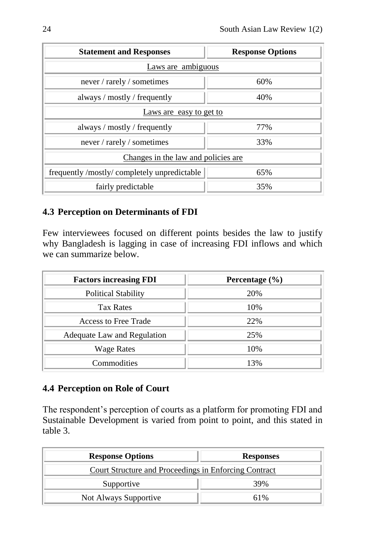| <b>Statement and Responses</b>             | <b>Response Options</b> |  |  |  |
|--------------------------------------------|-------------------------|--|--|--|
| Laws are ambiguous                         |                         |  |  |  |
| never / rarely / sometimes                 | 60%                     |  |  |  |
| always / mostly / frequently               | 40%                     |  |  |  |
| Laws are easy to get to                    |                         |  |  |  |
| always / mostly / frequently               | 77%                     |  |  |  |
| never / rarely / sometimes                 | 33%                     |  |  |  |
| Changes in the law and policies are.       |                         |  |  |  |
| frequently/mostly/completely unpredictable | 65%                     |  |  |  |
| fairly predictable                         | 35%                     |  |  |  |

## **4.3 Perception on Determinants of FDI**

Few interviewees focused on different points besides the law to justify why Bangladesh is lagging in case of increasing FDI inflows and which we can summarize below.

| <b>Factors increasing FDI</b> | Percentage $(\% )$ |  |
|-------------------------------|--------------------|--|
| <b>Political Stability</b>    | 20%                |  |
| <b>Tax Rates</b>              | 10%                |  |
| Access to Free Trade          | 22%                |  |
| Adequate Law and Regulation   | 25%                |  |
| <b>Wage Rates</b>             | 10%                |  |
| Commodities                   | 13%                |  |

## **4.4 Perception on Role of Court**

The respondent's perception of courts as a platform for promoting FDI and Sustainable Development is varied from point to point, and this stated in table 3.

| <b>Response Options</b>                               | <b>Responses</b> |  |  |
|-------------------------------------------------------|------------------|--|--|
| Court Structure and Proceedings in Enforcing Contract |                  |  |  |
| Supportive                                            | 39%              |  |  |
| Not Always Supportive                                 | 61%              |  |  |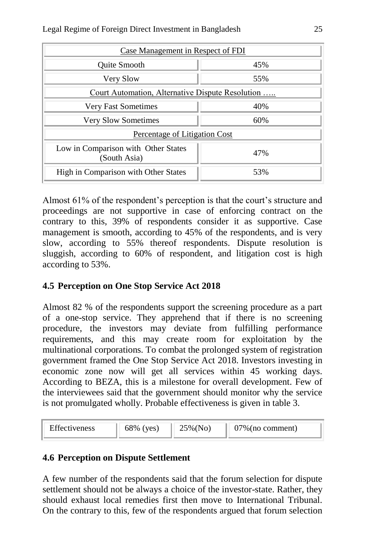| Case Management in Respect of FDI                   |     |  |  |
|-----------------------------------------------------|-----|--|--|
| <b>Ouite Smooth</b>                                 | 45% |  |  |
| Very Slow                                           | 55% |  |  |
| Court Automation, Alternative Dispute Resolution    |     |  |  |
| Very Fast Sometimes                                 | 40% |  |  |
| Very Slow Sometimes                                 | 60% |  |  |
| Percentage of Litigation Cost                       |     |  |  |
| Low in Comparison with Other States<br>(South Asia) | 47% |  |  |
| High in Comparison with Other States                | 53% |  |  |

Almost 61% of the respondent's perception is that the court's structure and proceedings are not supportive in case of enforcing contract on the contrary to this, 39% of respondents consider it as supportive. Case management is smooth, according to 45% of the respondents, and is very slow, according to 55% thereof respondents. Dispute resolution is sluggish, according to 60% of respondent, and litigation cost is high according to 53%.

# **4.5 Perception on One Stop Service Act 2018**

Almost 82 % of the respondents support the screening procedure as a part of a one-stop service. They apprehend that if there is no screening procedure, the investors may deviate from fulfilling performance requirements, and this may create room for exploitation by the multinational corporations. To combat the prolonged system of registration government framed the One Stop Service Act 2018. Investors investing in economic zone now will get all services within 45 working days. According to BEZA, this is a milestone for overall development. Few of the interviewees said that the government should monitor why the service is not promulgated wholly. Probable effectiveness is given in table 3.

| Effectiveness | 68% (yes) | $25\%(No)$ | $07\%$ (no comment) |
|---------------|-----------|------------|---------------------|
|---------------|-----------|------------|---------------------|

## **4.6 Perception on Dispute Settlement**

A few number of the respondents said that the forum selection for dispute settlement should not be always a choice of the investor-state. Rather, they should exhaust local remedies first then move to International Tribunal. On the contrary to this, few of the respondents argued that forum selection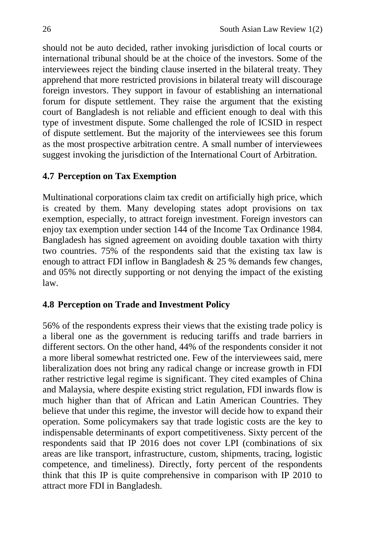should not be auto decided, rather invoking jurisdiction of local courts or international tribunal should be at the choice of the investors. Some of the interviewees reject the binding clause inserted in the bilateral treaty. They apprehend that more restricted provisions in bilateral treaty will discourage foreign investors. They support in favour of establishing an international forum for dispute settlement. They raise the argument that the existing court of Bangladesh is not reliable and efficient enough to deal with this type of investment dispute. Some challenged the role of ICSID in respect of dispute settlement. But the majority of the interviewees see this forum as the most prospective arbitration centre. A small number of interviewees suggest invoking the jurisdiction of the International Court of Arbitration.

### **4.7 Perception on Tax Exemption**

Multinational corporations claim tax credit on artificially high price, which is created by them. Many developing states adopt provisions on tax exemption, especially, to attract foreign investment. Foreign investors can enjoy tax exemption under section 144 of the Income Tax Ordinance 1984. Bangladesh has signed agreement on avoiding double taxation with thirty two countries. 75% of the respondents said that the existing tax law is enough to attract FDI inflow in Bangladesh  $& 25 %$  demands few changes, and 05% not directly supporting or not denying the impact of the existing law.

### **4.8 Perception on Trade and Investment Policy**

56% of the respondents express their views that the existing trade policy is a liberal one as the government is reducing tariffs and trade barriers in different sectors. On the other hand, 44% of the respondents consider it not a more liberal somewhat restricted one. Few of the interviewees said, mere liberalization does not bring any radical change or increase growth in FDI rather restrictive legal regime is significant. They cited examples of China and Malaysia, where despite existing strict regulation, FDI inwards flow is much higher than that of African and Latin American Countries. They believe that under this regime, the investor will decide how to expand their operation. Some policymakers say that trade logistic costs are the key to indispensable determinants of export competitiveness. Sixty percent of the respondents said that IP 2016 does not cover LPI (combinations of six areas are like transport, infrastructure, custom, shipments, tracing, logistic competence, and timeliness). Directly, forty percent of the respondents think that this IP is quite comprehensive in comparison with IP 2010 to attract more FDI in Bangladesh.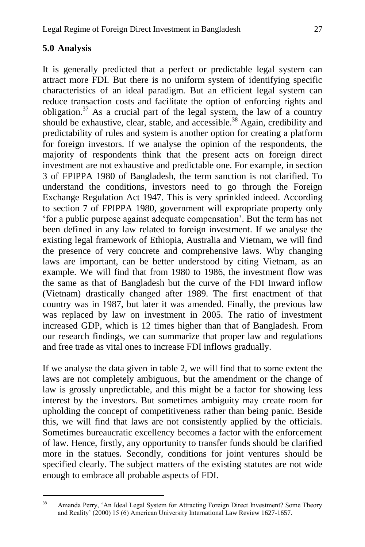# **5.0 Analysis**

 $\ddot{\phantom{a}}$ 

It is generally predicted that a perfect or predictable legal system can attract more FDI. But there is no uniform system of identifying specific characteristics of an ideal paradigm. But an efficient legal system can reduce transaction costs and facilitate the option of enforcing rights and obligation.<sup>37</sup> As a crucial part of the legal system, the law of a country should be exhaustive, clear, stable, and accessible.<sup>38</sup> Again, credibility and predictability of rules and system is another option for creating a platform for foreign investors. If we analyse the opinion of the respondents, the majority of respondents think that the present acts on foreign direct investment are not exhaustive and predictable one. For example, in section 3 of FPIPPA 1980 of Bangladesh, the term sanction is not clarified. To understand the conditions, investors need to go through the Foreign Exchange Regulation Act 1947. This is very sprinkled indeed. According to section 7 of FPIPPA 1980, government will expropriate property only 'for a public purpose against adequate compensation'. But the term has not been defined in any law related to foreign investment. If we analyse the existing legal framework of Ethiopia, Australia and Vietnam, we will find the presence of very concrete and comprehensive laws. Why changing laws are important, can be better understood by citing Vietnam, as an example. We will find that from 1980 to 1986, the investment flow was the same as that of Bangladesh but the curve of the FDI Inward inflow (Vietnam) drastically changed after 1989. The first enactment of that country was in 1987, but later it was amended. Finally, the previous law was replaced by law on investment in 2005. The ratio of investment increased GDP, which is 12 times higher than that of Bangladesh. From our research findings, we can summarize that proper law and regulations and free trade as vital ones to increase FDI inflows gradually.

If we analyse the data given in table 2, we will find that to some extent the laws are not completely ambiguous, but the amendment or the change of law is grossly unpredictable, and this might be a factor for showing less interest by the investors. But sometimes ambiguity may create room for upholding the concept of competitiveness rather than being panic. Beside this, we will find that laws are not consistently applied by the officials. Sometimes bureaucratic excellency becomes a factor with the enforcement of law. Hence, firstly, any opportunity to transfer funds should be clarified more in the statues. Secondly, conditions for joint ventures should be specified clearly. The subject matters of the existing statutes are not wide enough to embrace all probable aspects of FDI.

<sup>&</sup>lt;sup>38</sup> Amanda Perry, 'An Ideal Legal System for Attracting Foreign Direct Investment? Some Theory and Reality' (2000) 15 (6) American University International Law Review 1627-1657.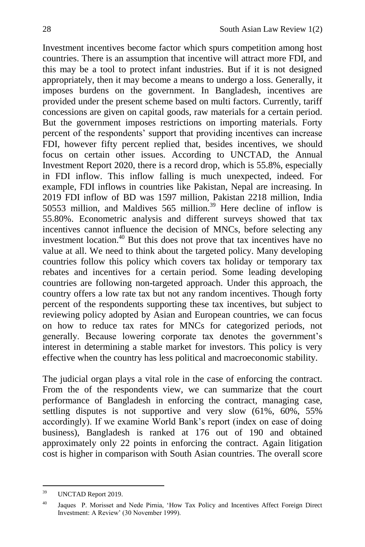Investment incentives become factor which spurs competition among host countries. There is an assumption that incentive will attract more FDI, and this may be a tool to protect infant industries. But if it is not designed appropriately, then it may become a means to undergo a loss. Generally, it imposes burdens on the government. In Bangladesh, incentives are provided under the present scheme based on multi factors. Currently, tariff concessions are given on capital goods, raw materials for a certain period. But the government imposes restrictions on importing materials. Forty percent of the respondents' support that providing incentives can increase FDI, however fifty percent replied that, besides incentives, we should focus on certain other issues. According to UNCTAD, the Annual Investment Report 2020, there is a record drop, which is 55.8%, especially in FDI inflow. This inflow falling is much unexpected, indeed. For example, FDI inflows in countries like Pakistan, Nepal are increasing. In 2019 FDI inflow of BD was 1597 million, Pakistan 2218 million, India 50553 million, and Maldives 565 million.<sup>39</sup> Here decline of inflow is 55.80%. Econometric analysis and different surveys showed that tax incentives cannot influence the decision of MNCs, before selecting any investment location.<sup>40</sup> But this does not prove that tax incentives have no value at all. We need to think about the targeted policy. Many developing countries follow this policy which covers tax holiday or temporary tax rebates and incentives for a certain period. Some leading developing countries are following non-targeted approach. Under this approach, the country offers a low rate tax but not any random incentives. Though forty percent of the respondents supporting these tax incentives, but subject to reviewing policy adopted by Asian and European countries, we can focus on how to reduce tax rates for MNCs for categorized periods, not generally. Because lowering corporate tax denotes the government's interest in determining a stable market for investors. This policy is very effective when the country has less political and macroeconomic stability.

The judicial organ plays a vital role in the case of enforcing the contract. From the of the respondents view, we can summarize that the court performance of Bangladesh in enforcing the contract, managing case, settling disputes is not supportive and very slow (61%, 60%, 55%) accordingly). If we examine World Bank's report (index on ease of doing business), Bangladesh is ranked at 176 out of 190 and obtained approximately only 22 points in enforcing the contract. Again litigation cost is higher in comparison with South Asian countries. The overall score

 $\overline{a}$ <sup>39</sup> UNCTAD Report 2019.

<sup>&</sup>lt;sup>40</sup> Jaques P. Morisset and Nede Pirnia, 'How Tax Policy and Incentives Affect Foreign Direct Investment: A Review' (30 November 1999).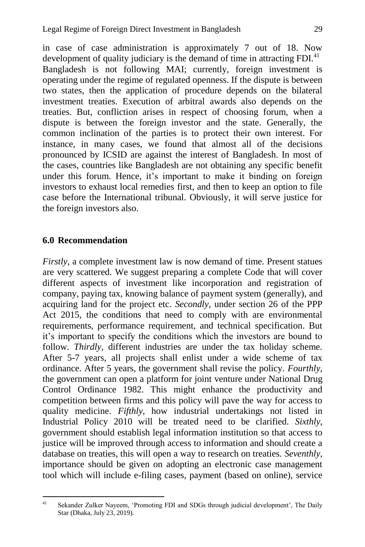in case of case administration is approximately 7 out of 18. Now development of quality judiciary is the demand of time in attracting  $FDI<sub>1</sub><sup>41</sup>$ Bangladesh is not following MAI; currently, foreign investment is operating under the regime of regulated openness. If the dispute is between two states, then the application of procedure depends on the bilateral investment treaties. Execution of arbitral awards also depends on the treaties. But, confliction arises in respect of choosing forum, when a dispute is between the foreign investor and the state. Generally, the common inclination of the parties is to protect their own interest. For instance, in many cases, we found that almost all of the decisions pronounced by ICSID are against the interest of Bangladesh. In most of the cases, countries like Bangladesh are not obtaining any specific benefit under this forum. Hence, it's important to make it binding on foreign investors to exhaust local remedies first, and then to keep an option to file case before the International tribunal. Obviously, it will serve justice for the foreign investors also.

### **6.0 Recommendation**

*Firstly*, a complete investment law is now demand of time. Present statues are very scattered. We suggest preparing a complete Code that will cover different aspects of investment like incorporation and registration of company, paying tax, knowing balance of payment system (generally), and acquiring land for the project etc. *Secondly*, under section 26 of the PPP Act 2015, the conditions that need to comply with are environmental requirements, performance requirement, and technical specification. But it's important to specify the conditions which the investors are bound to follow. *Thirdly*, different industries are under the tax holiday scheme. After 5-7 years, all projects shall enlist under a wide scheme of tax ordinance. After 5 years, the government shall revise the policy. *Fourthly*, the government can open a platform for joint venture under National Drug Control Ordinance 1982. This might enhance the productivity and competition between firms and this policy will pave the way for access to quality medicine. *Fifthly*, how industrial undertakings not listed in Industrial Policy 2010 will be treated need to be clarified. *Sixthly*, government should establish legal information institution so that access to justice will be improved through access to information and should create a database on treaties, this will open a way to research on treaties. *Seventhly*, importance should be given on adopting an electronic case management tool which will include e-filing cases, payment (based on online), service

 $41\,$ <sup>41</sup> Sekander Zulker Nayeem, 'Promoting FDI and SDGs through judicial development', The Daily Star (Dhaka, July 23, 2019).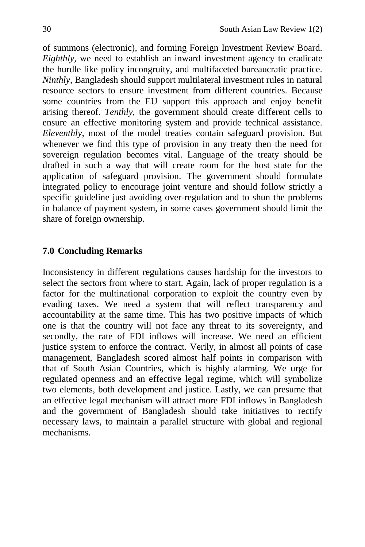of summons (electronic), and forming Foreign Investment Review Board. *Eighthly*, we need to establish an inward investment agency to eradicate the hurdle like policy incongruity, and multifaceted bureaucratic practice. *Ninthly*, Bangladesh should support multilateral investment rules in natural resource sectors to ensure investment from different countries. Because some countries from the EU support this approach and enjoy benefit arising thereof. *Tenthly*, the government should create different cells to ensure an effective monitoring system and provide technical assistance. *Eleventhly*, most of the model treaties contain safeguard provision. But whenever we find this type of provision in any treaty then the need for sovereign regulation becomes vital. Language of the treaty should be drafted in such a way that will create room for the host state for the application of safeguard provision. The government should formulate integrated policy to encourage joint venture and should follow strictly a specific guideline just avoiding over-regulation and to shun the problems in balance of payment system, in some cases government should limit the share of foreign ownership.

### **7.0 Concluding Remarks**

Inconsistency in different regulations causes hardship for the investors to select the sectors from where to start. Again, lack of proper regulation is a factor for the multinational corporation to exploit the country even by evading taxes. We need a system that will reflect transparency and accountability at the same time. This has two positive impacts of which one is that the country will not face any threat to its sovereignty, and secondly, the rate of FDI inflows will increase. We need an efficient justice system to enforce the contract. Verily, in almost all points of case management, Bangladesh scored almost half points in comparison with that of South Asian Countries, which is highly alarming. We urge for regulated openness and an effective legal regime, which will symbolize two elements, both development and justice. Lastly, we can presume that an effective legal mechanism will attract more FDI inflows in Bangladesh and the government of Bangladesh should take initiatives to rectify necessary laws, to maintain a parallel structure with global and regional mechanisms.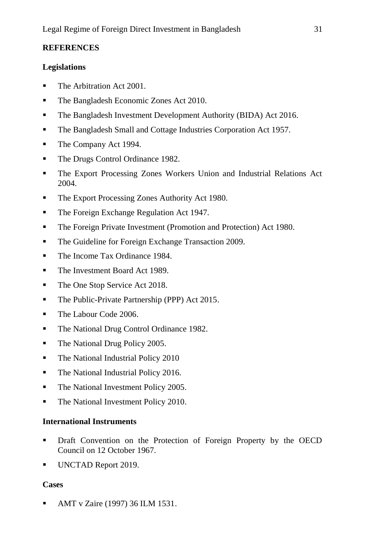### **REFERENCES**

### **Legislations**

- The Arbitration Act 2001.
- The Bangladesh Economic Zones Act 2010.
- **The Bangladesh Investment Development Authority (BIDA) Act 2016.**
- The Bangladesh Small and Cottage Industries Corporation Act 1957.
- The Company Act 1994.
- The Drugs Control Ordinance 1982.
- The Export Processing Zones Workers Union and Industrial Relations Act 2004.
- The Export Processing Zones Authority Act 1980.
- The Foreign Exchange Regulation Act 1947.
- The Foreign Private Investment (Promotion and Protection) Act 1980.
- The Guideline for Foreign Exchange Transaction 2009.
- The Income Tax Ordinance 1984.
- The Investment Board Act 1989.
- The One Stop Service Act 2018.
- The Public-Private Partnership (PPP) Act 2015.
- The Labour Code 2006.
- The National Drug Control Ordinance 1982.
- The National Drug Policy 2005.
- The National Industrial Policy 2010
- The National Industrial Policy 2016.
- The National Investment Policy 2005.
- The National Investment Policy 2010.

### **International Instruments**

- Draft Convention on the Protection of Foreign Property by the OECD Council on 12 October 1967.
- UNCTAD Report 2019.

### **Cases**

AMT v Zaire (1997) 36 ILM 1531.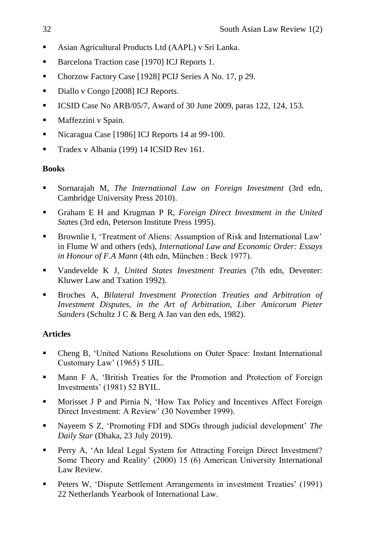- Asian Agricultural Products Ltd (AAPL) v Sri Lanka.
- Barcelona Traction case [1970] ICJ Reports 1.
- Chorzow Factory Case [1928] PCIJ Series A No. 17, p 29.
- Diallo v Congo [2008] ICJ Reports.
- $ICSID Case No ARB/05/7, Award of 30 June 2009, paras 122, 124, 153.$
- **Maffezzini v Spain.**
- Nicaragua Case [1986] ICJ Reports 14 at 99-100.
- Tradex v Albania (199) 14 ICSID Rev 161.

## **Books**

- Sornarajah M, *The International Law on Foreign Investment* (3rd edn, Cambridge University Press 2010).
- Graham E H and Krugman P R, *Foreign Direct Investment in the United Sta*tes (3rd edn, Peterson Institute Press 1995).
- Brownlie I, 'Treatment of Aliens: Assumption of Risk and International Law' in Flume W and others (eds), *International Law and Economic Order: Essays in Honour of F.A Mann* (4th edn, München : Beck 1977).
- Vandevelde K J, *United States Investment Treaties* (7th edn, Deventer: Kluwer Law and Txation 1992).
- Broches A, *Bilateral Investment Protection Treaties and Arbitration of Investment Disputes, in the Art of Arbitration, Liber Amicorum Pieter Sanders* (Schultz J C & Berg A Jan van den eds, 1982).

## **Articles**

- Cheng B, 'United Nations Resolutions on Outer Space: Instant International Customary Law' (1965) 5 IJIL.
- Mann F A, 'British Treaties for the Promotion and Protection of Foreign Investments' (1981) 52 BYIL.
- Morisset J P and Pirnia N, 'How Tax Policy and Incentives Affect Foreign Direct Investment: A Review' (30 November 1999).
- Nayeem S Z, 'Promoting FDI and SDGs through judicial development' *The Daily Star* (Dhaka, 23 July 2019).
- **Perry A, 'An Ideal Legal System for Attracting Foreign Direct Investment?** Some Theory and Reality' (2000) 15 (6) American University International Law Review.
- **Peters W. 'Dispute Settlement Arrangements in investment Treaties' (1991)** 22 Netherlands Yearbook of International Law.